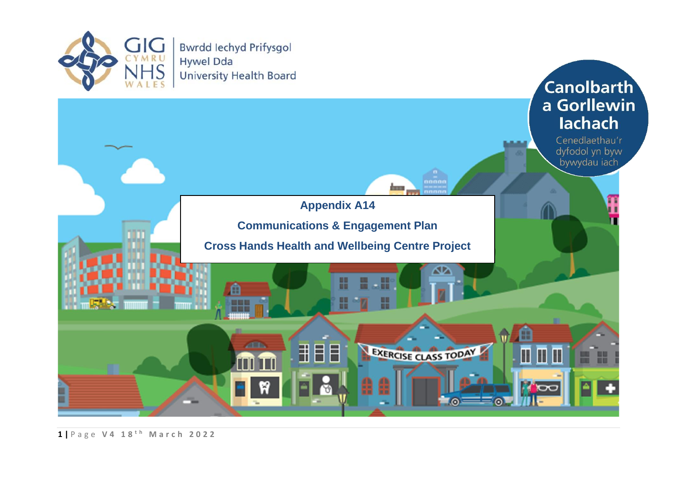

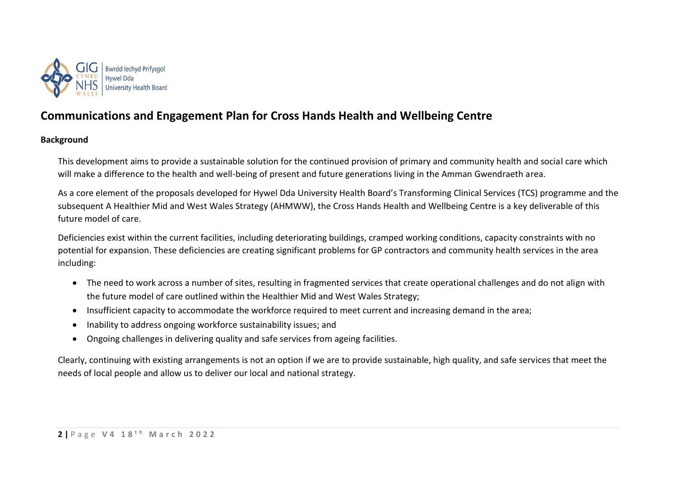

## **Communications and Engagement Plan for Cross Hands Health and Wellbeing Centre**

## **Background**

This development aims to provide a sustainable solution for the continued provision of primary and community health and social care which will make a difference to the health and well-being of present and future generations living in the Amman Gwendraeth area.

As a core element of the proposals developed for Hywel Dda University Health Board's Transforming Clinical Services (TCS) programme and the subsequent A Healthier Mid and West Wales Strategy (AHMWW), the Cross Hands Health and Wellbeing Centre is a key deliverable of this future model of care.

Deficiencies exist within the current facilities, including deteriorating buildings, cramped working conditions, capacity constraints with no potential for expansion. These deficiencies are creating significant problems for GP contractors and community health services in the area including:

- The need to work across a number of sites, resulting in fragmented services that create operational challenges and do not align with the future model of care outlined within the Healthier Mid and West Wales Strategy;
- Insufficient capacity to accommodate the workforce required to meet current and increasing demand in the area;
- Inability to address ongoing workforce sustainability issues; and
- Ongoing challenges in delivering quality and safe services from ageing facilities.

Clearly, continuing with existing arrangements is not an option if we are to provide sustainable, high quality, and safe services that meet the needs of local people and allow us to deliver our local and national strategy.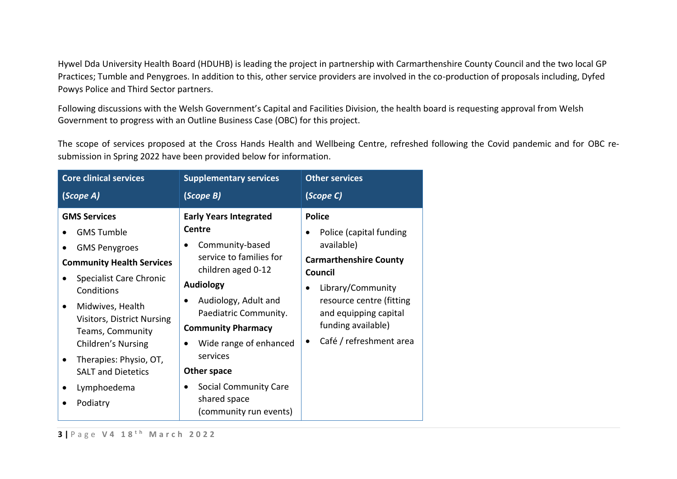Hywel Dda University Health Board (HDUHB) is leading the project in partnership with Carmarthenshire County Council and the two local GP Practices; Tumble and Penygroes. In addition to this, other service providers are involved in the co-production of proposals including, Dyfed Powys Police and Third Sector partners.

Following discussions with the Welsh Government's Capital and Facilities Division, the health board is requesting approval from Welsh Government to progress with an Outline Business Case (OBC) for this project.

The scope of services proposed at the Cross Hands Health and Wellbeing Centre, refreshed following the Covid pandemic and for OBC resubmission in Spring 2022 have been provided below for information.

| <b>Core clinical services</b>            |                                                                           | <b>Supplementary services</b>                                              | <b>Other services</b>                                                   |
|------------------------------------------|---------------------------------------------------------------------------|----------------------------------------------------------------------------|-------------------------------------------------------------------------|
|                                          | (Scope A)                                                                 | (Scope B)                                                                  | (Scope C)                                                               |
| <b>GMS Services</b><br><b>GMS Tumble</b> |                                                                           | <b>Early Years Integrated</b><br>Centre                                    | <b>Police</b><br>Police (capital funding                                |
|                                          | <b>GMS Penygroes</b><br><b>Community Health Services</b>                  | Community-based<br>service to families for                                 | available)<br><b>Carmarthenshire County</b>                             |
|                                          | <b>Specialist Care Chronic</b><br>Conditions                              | children aged 0-12<br><b>Audiology</b>                                     | Council<br>Library/Community                                            |
|                                          | Midwives, Health<br><b>Visitors, District Nursing</b><br>Teams, Community | Audiology, Adult and<br>Paediatric Community.<br><b>Community Pharmacy</b> | resource centre (fitting<br>and equipping capital<br>funding available) |
|                                          | Children's Nursing                                                        | Wide range of enhanced<br>services                                         | Café / refreshment area<br>$\bullet$                                    |
|                                          | Therapies: Physio, OT,<br><b>SALT and Dietetics</b>                       | Other space                                                                |                                                                         |
|                                          | Lymphoedema<br>Podiatry                                                   | Social Community Care<br>shared space<br>(community run events)            |                                                                         |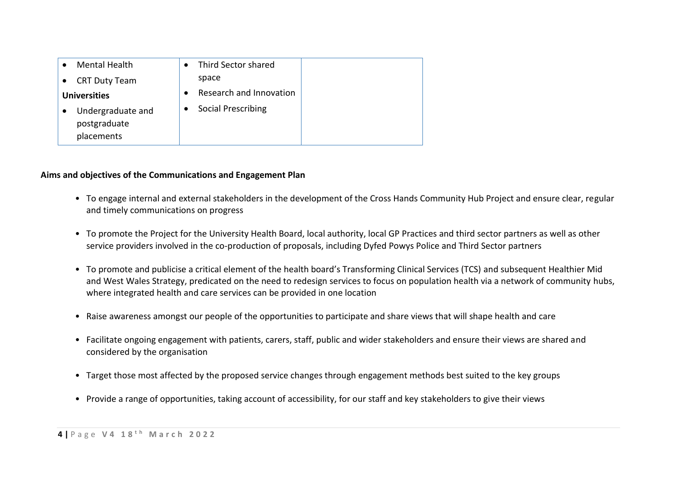| <b>Mental Health</b>                            | Third Sector shared     |  |
|-------------------------------------------------|-------------------------|--|
| <b>CRT Duty Team</b>                            | space                   |  |
| <b>Universities</b>                             | Research and Innovation |  |
| Undergraduate and<br>postgraduate<br>placements | Social Prescribing      |  |

### **Aims and objectives of the Communications and Engagement Plan**

- To engage internal and external stakeholders in the development of the Cross Hands Community Hub Project and ensure clear, regular and timely communications on progress
- To promote the Project for the University Health Board, local authority, local GP Practices and third sector partners as well as other service providers involved in the co-production of proposals, including Dyfed Powys Police and Third Sector partners
- To promote and publicise a critical element of the health board's Transforming Clinical Services (TCS) and subsequent Healthier Mid and West Wales Strategy, predicated on the need to redesign services to focus on population health via a network of community hubs, where integrated health and care services can be provided in one location
- Raise awareness amongst our people of the opportunities to participate and share views that will shape health and care
- Facilitate ongoing engagement with patients, carers, staff, public and wider stakeholders and ensure their views are shared and considered by the organisation
- Target those most affected by the proposed service changes through engagement methods best suited to the key groups
- Provide a range of opportunities, taking account of accessibility, for our staff and key stakeholders to give their views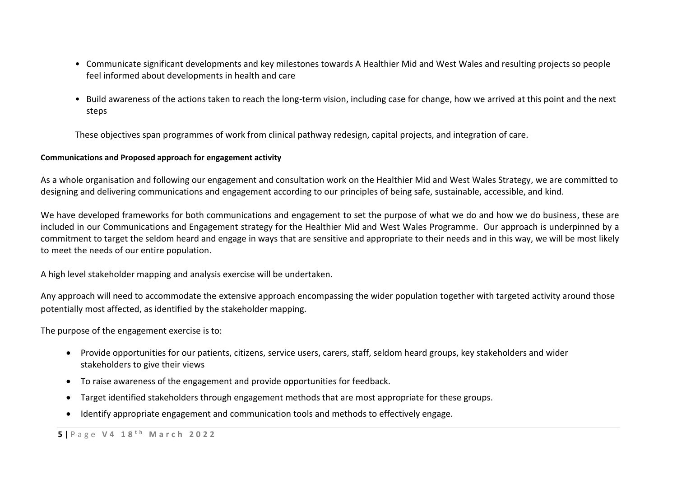- Communicate significant developments and key milestones towards A Healthier Mid and West Wales and resulting projects so people feel informed about developments in health and care
- Build awareness of the actions taken to reach the long-term vision, including case for change, how we arrived at this point and the next steps

These objectives span programmes of work from clinical pathway redesign, capital projects, and integration of care.

### **Communications and Proposed approach for engagement activity**

As a whole organisation and following our engagement and consultation work on the Healthier Mid and West Wales Strategy, we are committed to designing and delivering communications and engagement according to our principles of being safe, sustainable, accessible, and kind.

We have developed frameworks for both communications and engagement to set the purpose of what we do and how we do business, these are included in our Communications and Engagement strategy for the Healthier Mid and West Wales Programme. Our approach is underpinned by a commitment to target the seldom heard and engage in ways that are sensitive and appropriate to their needs and in this way, we will be most likely to meet the needs of our entire population.

A high level stakeholder mapping and analysis exercise will be undertaken.

Any approach will need to accommodate the extensive approach encompassing the wider population together with targeted activity around those potentially most affected, as identified by the stakeholder mapping.

The purpose of the engagement exercise is to:

- Provide opportunities for our patients, citizens, service users, carers, staff, seldom heard groups, key stakeholders and wider stakeholders to give their views
- To raise awareness of the engagement and provide opportunities for feedback.
- Target identified stakeholders through engagement methods that are most appropriate for these groups.
- Identify appropriate engagement and communication tools and methods to effectively engage.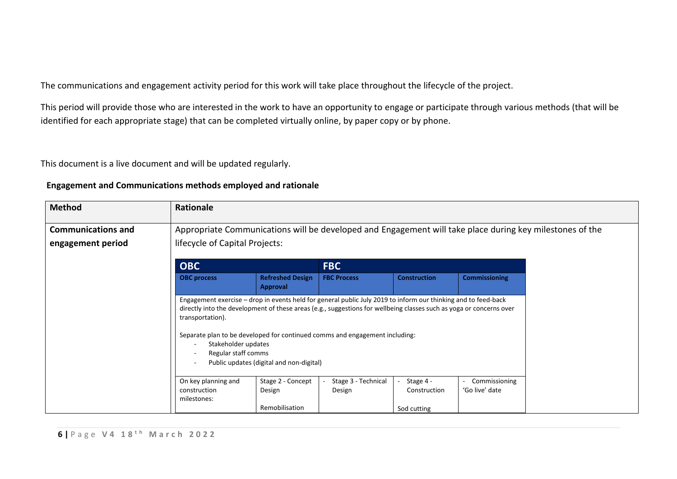The communications and engagement activity period for this work will take place throughout the lifecycle of the project.

This period will provide those who are interested in the work to have an opportunity to engage or participate through various methods (that will be identified for each appropriate stage) that can be completed virtually online, by paper copy or by phone.

This document is a live document and will be updated regularly.

| <b>Method</b>             | Rationale                                                      |                                                                                                                                                                                                                                                                                                                                                                  |                               |                                          |                                 |
|---------------------------|----------------------------------------------------------------|------------------------------------------------------------------------------------------------------------------------------------------------------------------------------------------------------------------------------------------------------------------------------------------------------------------------------------------------------------------|-------------------------------|------------------------------------------|---------------------------------|
| <b>Communications and</b> |                                                                | Appropriate Communications will be developed and Engagement will take place during key milestones of the                                                                                                                                                                                                                                                         |                               |                                          |                                 |
| engagement period         | lifecycle of Capital Projects:                                 |                                                                                                                                                                                                                                                                                                                                                                  |                               |                                          |                                 |
|                           | <b>OBC</b><br><b>FBC</b>                                       |                                                                                                                                                                                                                                                                                                                                                                  |                               |                                          |                                 |
|                           | <b>OBC</b> process                                             | <b>Refreshed Design</b><br>Approval                                                                                                                                                                                                                                                                                                                              | <b>FBC Process</b>            | <b>Construction</b>                      | <b>Commissioning</b>            |
|                           | transportation).<br>Stakeholder updates<br>Regular staff comms | Engagement exercise – drop in events held for general public July 2019 to inform our thinking and to feed-back<br>directly into the development of these areas (e.g., suggestions for wellbeing classes such as yoga or concerns over<br>Separate plan to be developed for continued comms and engagement including:<br>Public updates (digital and non-digital) |                               |                                          |                                 |
|                           | On key planning and<br>construction<br>milestones:             | Stage 2 - Concept<br>Design<br>Remobilisation                                                                                                                                                                                                                                                                                                                    | Stage 3 - Technical<br>Design | Stage 4 -<br>Construction<br>Sod cutting | Commissioning<br>'Go live' date |

## **Engagement and Communications methods employed and rationale**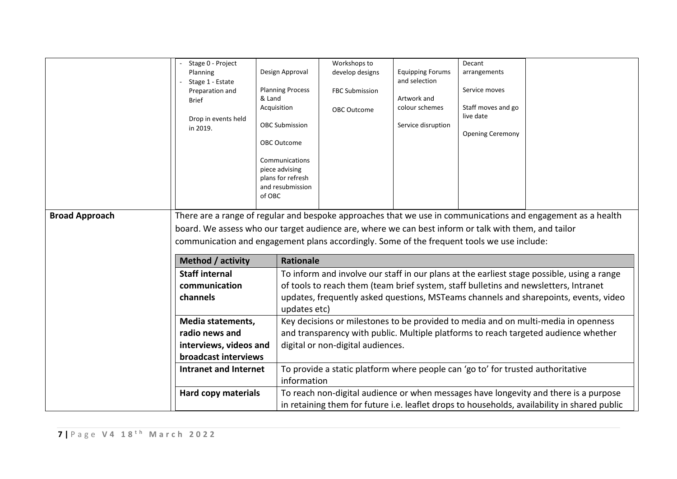|                       | Stage 0 - Project                                                                                    |                                       | Workshops to                                                                    |                         | Decant                  |                                                                                                              |
|-----------------------|------------------------------------------------------------------------------------------------------|---------------------------------------|---------------------------------------------------------------------------------|-------------------------|-------------------------|--------------------------------------------------------------------------------------------------------------|
|                       | Planning                                                                                             | Design Approval                       | develop designs                                                                 | <b>Equipping Forums</b> | arrangements            |                                                                                                              |
|                       | Stage 1 - Estate                                                                                     |                                       |                                                                                 | and selection           |                         |                                                                                                              |
|                       | Preparation and                                                                                      | <b>Planning Process</b><br>& Land     | <b>FBC Submission</b>                                                           | Artwork and             | Service moves           |                                                                                                              |
|                       | <b>Brief</b>                                                                                         | Acquisition                           | <b>OBC Outcome</b>                                                              | colour schemes          | Staff moves and go      |                                                                                                              |
|                       | Drop in events held                                                                                  |                                       |                                                                                 |                         | live date               |                                                                                                              |
|                       | in 2019.                                                                                             | <b>OBC Submission</b>                 |                                                                                 | Service disruption      |                         |                                                                                                              |
|                       |                                                                                                      | OBC Outcome                           |                                                                                 |                         | <b>Opening Ceremony</b> |                                                                                                              |
|                       |                                                                                                      |                                       |                                                                                 |                         |                         |                                                                                                              |
|                       |                                                                                                      | Communications                        |                                                                                 |                         |                         |                                                                                                              |
|                       |                                                                                                      | piece advising                        |                                                                                 |                         |                         |                                                                                                              |
|                       |                                                                                                      | plans for refresh<br>and resubmission |                                                                                 |                         |                         |                                                                                                              |
|                       |                                                                                                      | of OBC                                |                                                                                 |                         |                         |                                                                                                              |
|                       |                                                                                                      |                                       |                                                                                 |                         |                         |                                                                                                              |
| <b>Broad Approach</b> |                                                                                                      |                                       |                                                                                 |                         |                         | There are a range of regular and bespoke approaches that we use in communications and engagement as a health |
|                       | board. We assess who our target audience are, where we can best inform or talk with them, and tailor |                                       |                                                                                 |                         |                         |                                                                                                              |
|                       | communication and engagement plans accordingly. Some of the frequent tools we use include:           |                                       |                                                                                 |                         |                         |                                                                                                              |
|                       |                                                                                                      |                                       |                                                                                 |                         |                         |                                                                                                              |
|                       | Method / activity                                                                                    | <b>Rationale</b>                      |                                                                                 |                         |                         |                                                                                                              |
|                       | <b>Staff internal</b>                                                                                |                                       |                                                                                 |                         |                         | To inform and involve our staff in our plans at the earliest stage possible, using a range                   |
|                       | communication                                                                                        |                                       |                                                                                 |                         |                         | of tools to reach them (team brief system, staff bulletins and newsletters, Intranet                         |
|                       | channels                                                                                             |                                       |                                                                                 |                         |                         | updates, frequently asked questions, MSTeams channels and sharepoints, events, video                         |
|                       |                                                                                                      | updates etc)                          |                                                                                 |                         |                         |                                                                                                              |
|                       | Media statements,                                                                                    |                                       |                                                                                 |                         |                         | Key decisions or milestones to be provided to media and on multi-media in openness                           |
|                       | radio news and                                                                                       |                                       |                                                                                 |                         |                         | and transparency with public. Multiple platforms to reach targeted audience whether                          |
|                       | interviews, videos and                                                                               |                                       | digital or non-digital audiences.                                               |                         |                         |                                                                                                              |
|                       | broadcast interviews                                                                                 |                                       |                                                                                 |                         |                         |                                                                                                              |
|                       |                                                                                                      |                                       |                                                                                 |                         |                         |                                                                                                              |
|                       | <b>Intranet and Internet</b>                                                                         |                                       | To provide a static platform where people can 'go to' for trusted authoritative |                         |                         |                                                                                                              |
|                       |                                                                                                      | information                           |                                                                                 |                         |                         |                                                                                                              |
|                       | <b>Hard copy materials</b>                                                                           |                                       |                                                                                 |                         |                         | To reach non-digital audience or when messages have longevity and there is a purpose                         |
|                       |                                                                                                      |                                       |                                                                                 |                         |                         | in retaining them for future i.e. leaflet drops to households, availability in shared public                 |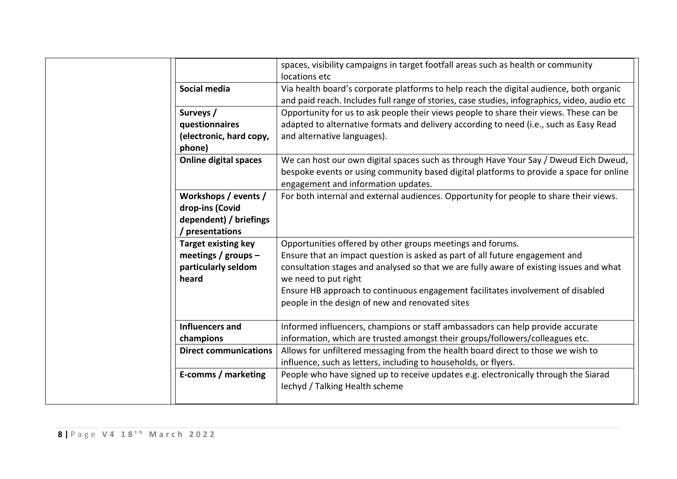|                              | spaces, visibility campaigns in target footfall areas such as health or community<br>locations etc                                                                                                                     |
|------------------------------|------------------------------------------------------------------------------------------------------------------------------------------------------------------------------------------------------------------------|
| Social media                 | Via health board's corporate platforms to help reach the digital audience, both organic<br>and paid reach. Includes full range of stories, case studies, infographics, video, audio etc                                |
| Surveys /                    | Opportunity for us to ask people their views people to share their views. These can be                                                                                                                                 |
| questionnaires               | adapted to alternative formats and delivery according to need (i.e., such as Easy Read                                                                                                                                 |
| (electronic, hard copy,      | and alternative languages).                                                                                                                                                                                            |
| phone)                       |                                                                                                                                                                                                                        |
| <b>Online digital spaces</b> | We can host our own digital spaces such as through Have Your Say / Dweud Eich Dweud,<br>bespoke events or using community based digital platforms to provide a space for online<br>engagement and information updates. |
| Workshops / events /         | For both internal and external audiences. Opportunity for people to share their views.                                                                                                                                 |
| drop-ins (Covid              |                                                                                                                                                                                                                        |
| dependent) / briefings       |                                                                                                                                                                                                                        |
| presentations                |                                                                                                                                                                                                                        |
| <b>Target existing key</b>   | Opportunities offered by other groups meetings and forums.                                                                                                                                                             |
| meetings / groups -          | Ensure that an impact question is asked as part of all future engagement and                                                                                                                                           |
| particularly seldom<br>heard | consultation stages and analysed so that we are fully aware of existing issues and what<br>we need to put right                                                                                                        |
|                              | Ensure HB approach to continuous engagement facilitates involvement of disabled<br>people in the design of new and renovated sites                                                                                     |
| Influencers and              | Informed influencers, champions or staff ambassadors can help provide accurate                                                                                                                                         |
| champions                    | information, which are trusted amongst their groups/followers/colleagues etc.                                                                                                                                          |
| <b>Direct communications</b> | Allows for unfiltered messaging from the health board direct to those we wish to                                                                                                                                       |
|                              | influence, such as letters, including to households, or flyers.                                                                                                                                                        |
| E-comms / marketing          | People who have signed up to receive updates e.g. electronically through the Siarad                                                                                                                                    |
|                              | lechyd / Talking Health scheme                                                                                                                                                                                         |
|                              |                                                                                                                                                                                                                        |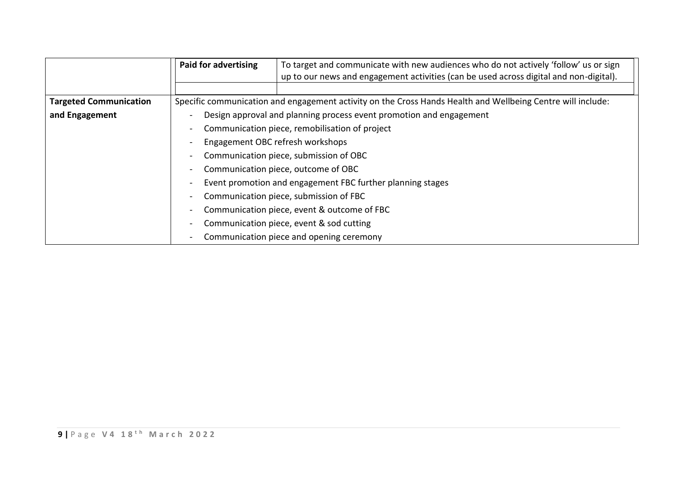|                               | <b>Paid for advertising</b>                                                                                 | To target and communicate with new audiences who do not actively 'follow' us or sign<br>up to our news and engagement activities (can be used across digital and non-digital). |  |
|-------------------------------|-------------------------------------------------------------------------------------------------------------|--------------------------------------------------------------------------------------------------------------------------------------------------------------------------------|--|
| <b>Targeted Communication</b> | Specific communication and engagement activity on the Cross Hands Health and Wellbeing Centre will include: |                                                                                                                                                                                |  |
| and Engagement                |                                                                                                             | Design approval and planning process event promotion and engagement                                                                                                            |  |
|                               |                                                                                                             | Communication piece, remobilisation of project                                                                                                                                 |  |
|                               | Engagement OBC refresh workshops                                                                            |                                                                                                                                                                                |  |
|                               | Communication piece, submission of OBC<br>$\overline{\phantom{a}}$                                          |                                                                                                                                                                                |  |
|                               | Communication piece, outcome of OBC                                                                         |                                                                                                                                                                                |  |
|                               | Event promotion and engagement FBC further planning stages                                                  |                                                                                                                                                                                |  |
|                               | $\overline{\phantom{a}}$                                                                                    | Communication piece, submission of FBC                                                                                                                                         |  |
|                               | Communication piece, event & outcome of FBC                                                                 |                                                                                                                                                                                |  |
|                               | Communication piece, event & sod cutting                                                                    |                                                                                                                                                                                |  |
|                               | $\blacksquare$                                                                                              | Communication piece and opening ceremony                                                                                                                                       |  |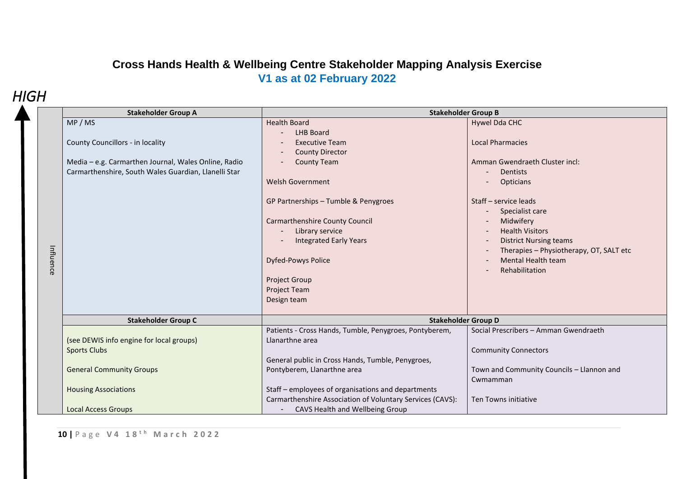# **Cross Hands Health & Wellbeing Centre Stakeholder Mapping Analysis Exercise V1 as at 02 February 2022**

# *HIGH*

|           | <b>Stakeholder Group A</b>                                                                                                                                | <b>Stakeholder Group B</b>                                                                                                                                                                                                                                                                                                                                    |                                                                                                                                                                                                                                                                                                                                                                           |  |  |
|-----------|-----------------------------------------------------------------------------------------------------------------------------------------------------------|---------------------------------------------------------------------------------------------------------------------------------------------------------------------------------------------------------------------------------------------------------------------------------------------------------------------------------------------------------------|---------------------------------------------------------------------------------------------------------------------------------------------------------------------------------------------------------------------------------------------------------------------------------------------------------------------------------------------------------------------------|--|--|
| Influence | MP/MS<br>County Councillors - in locality<br>Media - e.g. Carmarthen Journal, Wales Online, Radio<br>Carmarthenshire, South Wales Guardian, Llanelli Star | <b>Health Board</b><br><b>LHB Board</b><br><b>Executive Team</b><br><b>County Director</b><br><b>County Team</b><br>Welsh Government<br>GP Partnerships - Tumble & Penygroes<br><b>Carmarthenshire County Council</b><br>Library service<br><b>Integrated Early Years</b><br>Dyfed-Powys Police<br><b>Project Group</b><br><b>Project Team</b><br>Design team | Hywel Dda CHC<br><b>Local Pharmacies</b><br>Amman Gwendraeth Cluster incl:<br>Dentists<br>$\blacksquare$<br><b>Opticians</b><br>Staff - service leads<br>Specialist care<br>$\overline{\phantom{a}}$<br>Midwifery<br><b>Health Visitors</b><br><b>District Nursing teams</b><br>$\sim$<br>Therapies - Physiotherapy, OT, SALT etc<br>Mental Health team<br>Rehabilitation |  |  |
|           | <b>Stakeholder Group C</b>                                                                                                                                | <b>Stakeholder Group D</b>                                                                                                                                                                                                                                                                                                                                    |                                                                                                                                                                                                                                                                                                                                                                           |  |  |
|           | (see DEWIS info engine for local groups)<br><b>Sports Clubs</b>                                                                                           | Patients - Cross Hands, Tumble, Penygroes, Pontyberem,<br>Llanarthne area                                                                                                                                                                                                                                                                                     | Social Prescribers - Amman Gwendraeth<br><b>Community Connectors</b>                                                                                                                                                                                                                                                                                                      |  |  |
|           | <b>General Community Groups</b>                                                                                                                           | General public in Cross Hands, Tumble, Penygroes,<br>Pontyberem, Llanarthne area                                                                                                                                                                                                                                                                              | Town and Community Councils - Llannon and<br>Cwmamman                                                                                                                                                                                                                                                                                                                     |  |  |
|           | <b>Housing Associations</b>                                                                                                                               | Staff - employees of organisations and departments<br>Carmarthenshire Association of Voluntary Services (CAVS):                                                                                                                                                                                                                                               | Ten Towns initiative                                                                                                                                                                                                                                                                                                                                                      |  |  |
|           | <b>Local Access Groups</b>                                                                                                                                | CAVS Health and Wellbeing Group                                                                                                                                                                                                                                                                                                                               |                                                                                                                                                                                                                                                                                                                                                                           |  |  |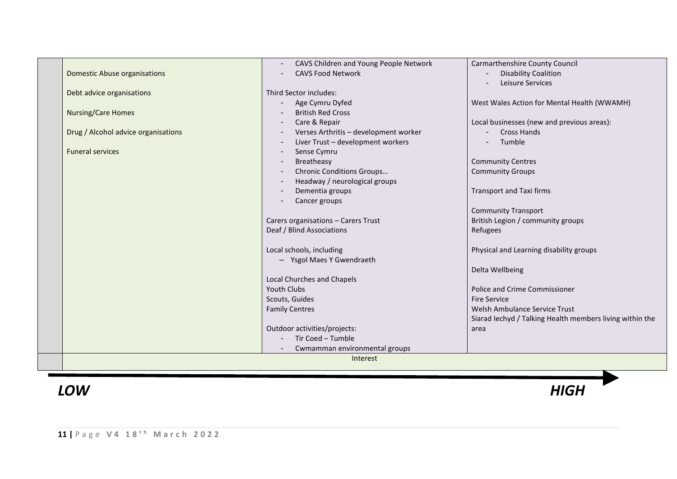|                                     | CAVS Children and Young People Network | Carmarthenshire County Council                           |
|-------------------------------------|----------------------------------------|----------------------------------------------------------|
| <b>Domestic Abuse organisations</b> | <b>CAVS Food Network</b>               | <b>Disability Coalition</b>                              |
|                                     |                                        | Leisure Services                                         |
| Debt advice organisations           | Third Sector includes:                 |                                                          |
|                                     | Age Cymru Dyfed                        | West Wales Action for Mental Health (WWAMH)              |
| <b>Nursing/Care Homes</b>           | <b>British Red Cross</b>               |                                                          |
|                                     | Care & Repair                          | Local businesses (new and previous areas):               |
| Drug / Alcohol advice organisations | Verses Arthritis - development worker  | <b>Cross Hands</b>                                       |
|                                     | Liver Trust - development workers      | Tumble                                                   |
| <b>Funeral services</b>             | Sense Cymru                            |                                                          |
|                                     | Breatheasy                             | <b>Community Centres</b>                                 |
|                                     | Chronic Conditions Groups              | <b>Community Groups</b>                                  |
|                                     | Headway / neurological groups          |                                                          |
|                                     | Dementia groups                        | <b>Transport and Taxi firms</b>                          |
|                                     | Cancer groups                          |                                                          |
|                                     |                                        | <b>Community Transport</b>                               |
|                                     | Carers organisations - Carers Trust    | British Legion / community groups                        |
|                                     | Deaf / Blind Associations              | Refugees                                                 |
|                                     |                                        |                                                          |
|                                     | Local schools, including               | Physical and Learning disability groups                  |
|                                     | - Ysgol Maes Y Gwendraeth              |                                                          |
|                                     |                                        | Delta Wellbeing                                          |
|                                     | <b>Local Churches and Chapels</b>      |                                                          |
|                                     | Youth Clubs                            | Police and Crime Commissioner                            |
|                                     | Scouts, Guides                         | <b>Fire Service</b>                                      |
|                                     | <b>Family Centres</b>                  | Welsh Ambulance Service Trust                            |
|                                     |                                        | Siarad lechyd / Talking Health members living within the |
|                                     | Outdoor activities/projects:           | area                                                     |
|                                     | Tir Coed - Tumble                      |                                                          |
|                                     | Cwmamman environmental groups          |                                                          |
|                                     | Interest                               |                                                          |
|                                     |                                        |                                                          |

# *LOW HIGH*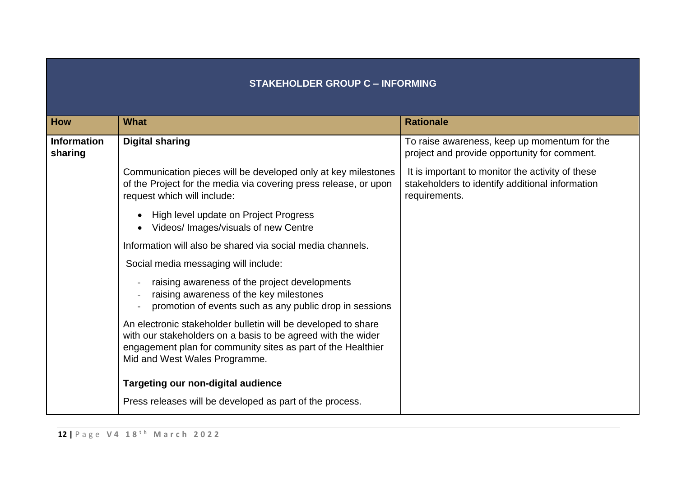## **STAKEHOLDER GROUP C – INFORMING**

| <b>How</b>                    | <b>What</b>                                                                                                                                                                                                                    | <b>Rationale</b>                                                                                                     |
|-------------------------------|--------------------------------------------------------------------------------------------------------------------------------------------------------------------------------------------------------------------------------|----------------------------------------------------------------------------------------------------------------------|
| <b>Information</b><br>sharing | <b>Digital sharing</b>                                                                                                                                                                                                         | To raise awareness, keep up momentum for the<br>project and provide opportunity for comment.                         |
|                               | Communication pieces will be developed only at key milestones<br>of the Project for the media via covering press release, or upon<br>request which will include:                                                               | It is important to monitor the activity of these<br>stakeholders to identify additional information<br>requirements. |
|                               | High level update on Project Progress<br>Videos/ Images/visuals of new Centre                                                                                                                                                  |                                                                                                                      |
|                               | Information will also be shared via social media channels.                                                                                                                                                                     |                                                                                                                      |
|                               | Social media messaging will include:                                                                                                                                                                                           |                                                                                                                      |
|                               | raising awareness of the project developments<br>raising awareness of the key milestones<br>promotion of events such as any public drop in sessions                                                                            |                                                                                                                      |
|                               | An electronic stakeholder bulletin will be developed to share<br>with our stakeholders on a basis to be agreed with the wider<br>engagement plan for community sites as part of the Healthier<br>Mid and West Wales Programme. |                                                                                                                      |
|                               | <b>Targeting our non-digital audience</b>                                                                                                                                                                                      |                                                                                                                      |
|                               | Press releases will be developed as part of the process.                                                                                                                                                                       |                                                                                                                      |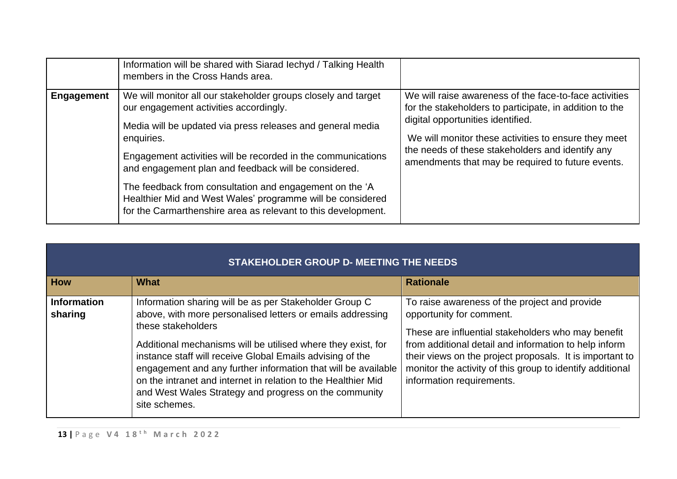|                   | Information will be shared with Siarad lechyd / Talking Health<br>members in the Cross Hands area.                                                                                                                                                                                                                                                                                                                                                                                                    |                                                                                                                                                                                                                                                                                                                         |
|-------------------|-------------------------------------------------------------------------------------------------------------------------------------------------------------------------------------------------------------------------------------------------------------------------------------------------------------------------------------------------------------------------------------------------------------------------------------------------------------------------------------------------------|-------------------------------------------------------------------------------------------------------------------------------------------------------------------------------------------------------------------------------------------------------------------------------------------------------------------------|
| <b>Engagement</b> | We will monitor all our stakeholder groups closely and target<br>our engagement activities accordingly.<br>Media will be updated via press releases and general media<br>enquiries.<br>Engagement activities will be recorded in the communications<br>and engagement plan and feedback will be considered.<br>The feedback from consultation and engagement on the 'A<br>Healthier Mid and West Wales' programme will be considered<br>for the Carmarthenshire area as relevant to this development. | We will raise awareness of the face-to-face activities<br>for the stakeholders to participate, in addition to the<br>digital opportunities identified.<br>We will monitor these activities to ensure they meet<br>the needs of these stakeholders and identify any<br>amendments that may be required to future events. |

|                               | <b>STAKEHOLDER GROUP D- MEETING THE NEEDS</b>                                                                                                                                                                                                                                                                                                                                                                                                                                       |                                                                                                                                                                                                                                                                                                                                                |  |  |  |  |  |
|-------------------------------|-------------------------------------------------------------------------------------------------------------------------------------------------------------------------------------------------------------------------------------------------------------------------------------------------------------------------------------------------------------------------------------------------------------------------------------------------------------------------------------|------------------------------------------------------------------------------------------------------------------------------------------------------------------------------------------------------------------------------------------------------------------------------------------------------------------------------------------------|--|--|--|--|--|
| <b>How</b>                    | <b>What</b>                                                                                                                                                                                                                                                                                                                                                                                                                                                                         | <b>Rationale</b>                                                                                                                                                                                                                                                                                                                               |  |  |  |  |  |
| <b>Information</b><br>sharing | Information sharing will be as per Stakeholder Group C<br>above, with more personalised letters or emails addressing<br>these stakeholders<br>Additional mechanisms will be utilised where they exist, for<br>instance staff will receive Global Emails advising of the<br>engagement and any further information that will be available<br>on the intranet and internet in relation to the Healthier Mid<br>and West Wales Strategy and progress on the community<br>site schemes. | To raise awareness of the project and provide<br>opportunity for comment.<br>These are influential stakeholders who may benefit<br>from additional detail and information to help inform<br>their views on the project proposals. It is important to<br>monitor the activity of this group to identify additional<br>information requirements. |  |  |  |  |  |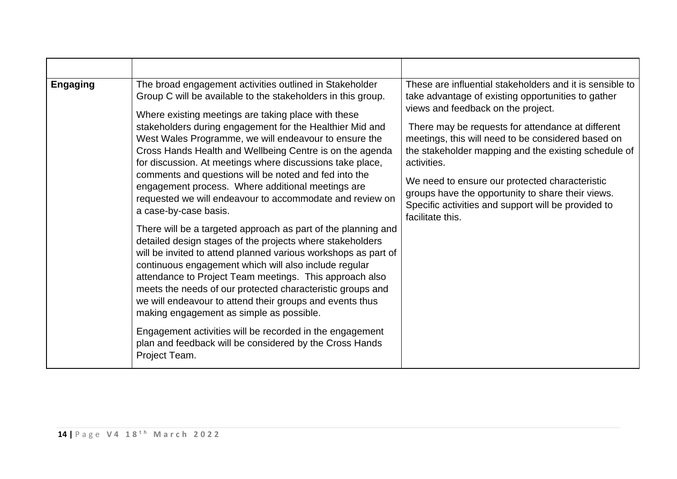| <b>Engaging</b> | The broad engagement activities outlined in Stakeholder<br>Group C will be available to the stakeholders in this group.<br>Where existing meetings are taking place with these<br>stakeholders during engagement for the Healthier Mid and<br>West Wales Programme, we will endeavour to ensure the<br>Cross Hands Health and Wellbeing Centre is on the agenda<br>for discussion. At meetings where discussions take place,<br>comments and questions will be noted and fed into the<br>engagement process. Where additional meetings are<br>requested we will endeavour to accommodate and review on<br>a case-by-case basis.<br>There will be a targeted approach as part of the planning and<br>detailed design stages of the projects where stakeholders<br>will be invited to attend planned various workshops as part of<br>continuous engagement which will also include regular<br>attendance to Project Team meetings. This approach also<br>meets the needs of our protected characteristic groups and<br>we will endeavour to attend their groups and events thus<br>making engagement as simple as possible.<br>Engagement activities will be recorded in the engagement<br>plan and feedback will be considered by the Cross Hands<br>Project Team. | These are influential stakeholders and it is sensible to<br>take advantage of existing opportunities to gather<br>views and feedback on the project.<br>There may be requests for attendance at different<br>meetings, this will need to be considered based on<br>the stakeholder mapping and the existing schedule of<br>activities.<br>We need to ensure our protected characteristic<br>groups have the opportunity to share their views.<br>Specific activities and support will be provided to<br>facilitate this. |
|-----------------|-------------------------------------------------------------------------------------------------------------------------------------------------------------------------------------------------------------------------------------------------------------------------------------------------------------------------------------------------------------------------------------------------------------------------------------------------------------------------------------------------------------------------------------------------------------------------------------------------------------------------------------------------------------------------------------------------------------------------------------------------------------------------------------------------------------------------------------------------------------------------------------------------------------------------------------------------------------------------------------------------------------------------------------------------------------------------------------------------------------------------------------------------------------------------------------------------------------------------------------------------------------------|--------------------------------------------------------------------------------------------------------------------------------------------------------------------------------------------------------------------------------------------------------------------------------------------------------------------------------------------------------------------------------------------------------------------------------------------------------------------------------------------------------------------------|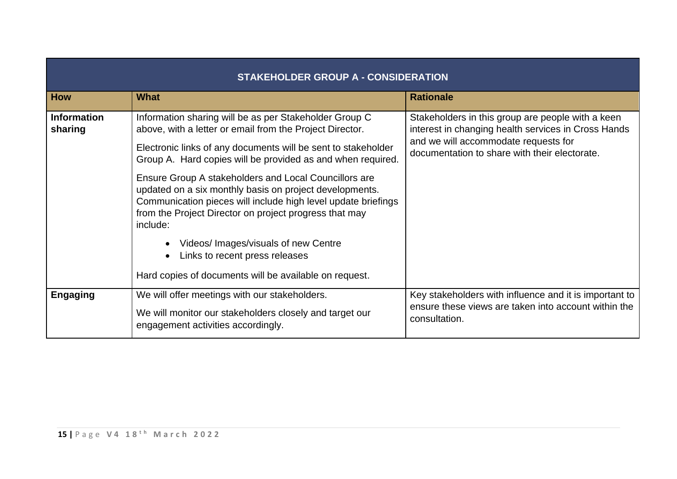|                               | <b>STAKEHOLDER GROUP A - CONSIDERATION</b>                                                                                                                                                                                                                                                                                                                                                                                                                                                                                                                                              |                                                                                                                                                                                                   |  |  |  |
|-------------------------------|-----------------------------------------------------------------------------------------------------------------------------------------------------------------------------------------------------------------------------------------------------------------------------------------------------------------------------------------------------------------------------------------------------------------------------------------------------------------------------------------------------------------------------------------------------------------------------------------|---------------------------------------------------------------------------------------------------------------------------------------------------------------------------------------------------|--|--|--|
| <b>How</b>                    | <b>What</b>                                                                                                                                                                                                                                                                                                                                                                                                                                                                                                                                                                             | <b>Rationale</b>                                                                                                                                                                                  |  |  |  |
| <b>Information</b><br>sharing | Information sharing will be as per Stakeholder Group C<br>above, with a letter or email from the Project Director.<br>Electronic links of any documents will be sent to stakeholder<br>Group A. Hard copies will be provided as and when required.<br>Ensure Group A stakeholders and Local Councillors are<br>updated on a six monthly basis on project developments.<br>Communication pieces will include high level update briefings<br>from the Project Director on project progress that may<br>include:<br>Videos/ Images/visuals of new Centre<br>Links to recent press releases | Stakeholders in this group are people with a keen<br>interest in changing health services in Cross Hands<br>and we will accommodate requests for<br>documentation to share with their electorate. |  |  |  |
|                               | Hard copies of documents will be available on request.                                                                                                                                                                                                                                                                                                                                                                                                                                                                                                                                  |                                                                                                                                                                                                   |  |  |  |
| <b>Engaging</b>               | We will offer meetings with our stakeholders.<br>We will monitor our stakeholders closely and target our<br>engagement activities accordingly.                                                                                                                                                                                                                                                                                                                                                                                                                                          | Key stakeholders with influence and it is important to<br>ensure these views are taken into account within the<br>consultation.                                                                   |  |  |  |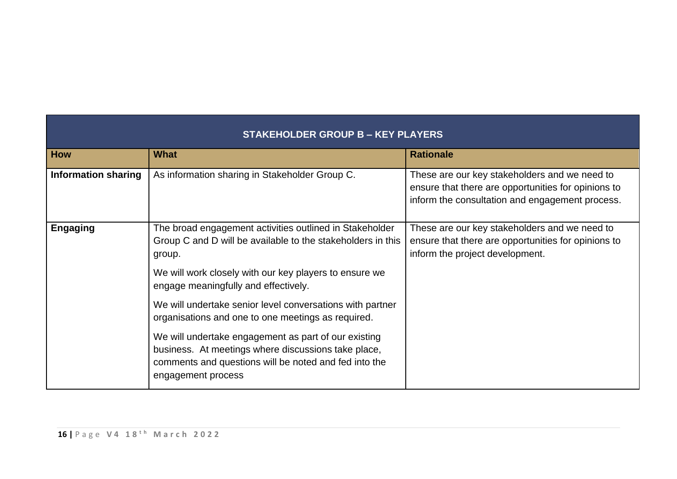|                            | STAKEHOLDER GROUP B - KEY PLAYERS                                                                                                                                                          |                                                                                                                                                         |  |  |  |
|----------------------------|--------------------------------------------------------------------------------------------------------------------------------------------------------------------------------------------|---------------------------------------------------------------------------------------------------------------------------------------------------------|--|--|--|
| <b>How</b>                 | <b>What</b>                                                                                                                                                                                | <b>Rationale</b>                                                                                                                                        |  |  |  |
| <b>Information sharing</b> | As information sharing in Stakeholder Group C.                                                                                                                                             | These are our key stakeholders and we need to<br>ensure that there are opportunities for opinions to<br>inform the consultation and engagement process. |  |  |  |
| <b>Engaging</b>            | The broad engagement activities outlined in Stakeholder<br>Group C and D will be available to the stakeholders in this<br>group.                                                           | These are our key stakeholders and we need to<br>ensure that there are opportunities for opinions to<br>inform the project development.                 |  |  |  |
|                            | We will work closely with our key players to ensure we<br>engage meaningfully and effectively.                                                                                             |                                                                                                                                                         |  |  |  |
|                            | We will undertake senior level conversations with partner<br>organisations and one to one meetings as required.                                                                            |                                                                                                                                                         |  |  |  |
|                            | We will undertake engagement as part of our existing<br>business. At meetings where discussions take place,<br>comments and questions will be noted and fed into the<br>engagement process |                                                                                                                                                         |  |  |  |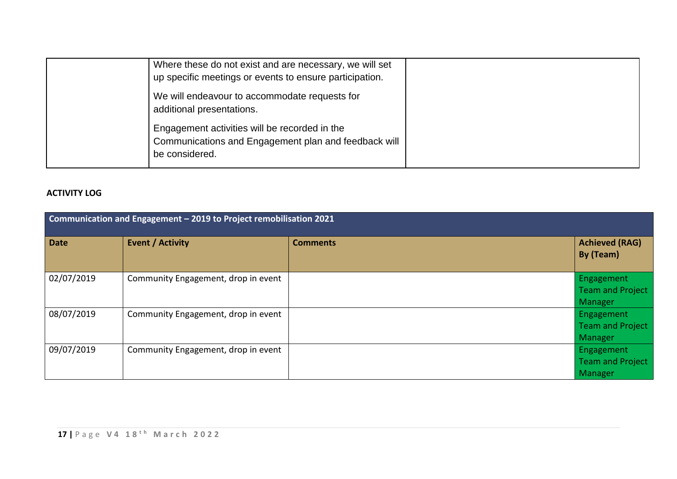| Where these do not exist and are necessary, we will set<br>up specific meetings or events to ensure participation.      |  |
|-------------------------------------------------------------------------------------------------------------------------|--|
| We will endeavour to accommodate requests for<br>additional presentations.                                              |  |
| Engagement activities will be recorded in the<br>Communications and Engagement plan and feedback will<br>be considered. |  |

## **ACTIVITY LOG**

| Communication and Engagement - 2019 to Project remobilisation 2021 |                                     |                 |                                                  |
|--------------------------------------------------------------------|-------------------------------------|-----------------|--------------------------------------------------|
| <b>Date</b>                                                        | <b>Event / Activity</b>             | <b>Comments</b> | <b>Achieved (RAG)</b><br>By (Team)               |
| 02/07/2019                                                         | Community Engagement, drop in event |                 | Engagement<br><b>Team and Project</b><br>Manager |
| 08/07/2019                                                         | Community Engagement, drop in event |                 | Engagement<br><b>Team and Project</b><br>Manager |
| 09/07/2019                                                         | Community Engagement, drop in event |                 | Engagement<br><b>Team and Project</b><br>Manager |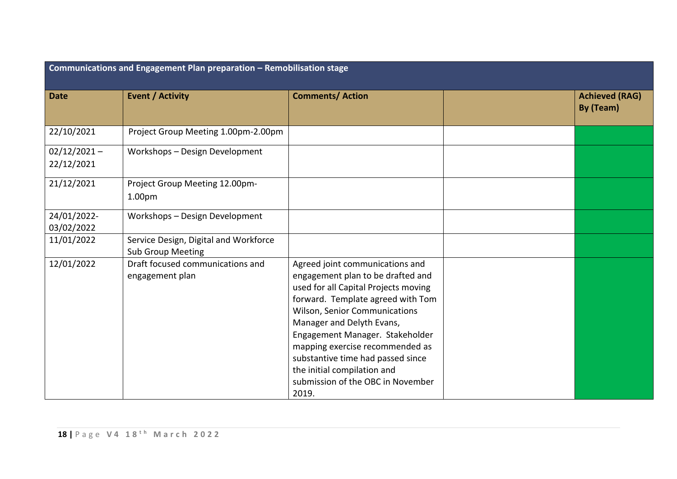| Communications and Engagement Plan preparation - Remobilisation stage |                                                                   |                                                                                                                                                                                                                                                                                                                                                                                                                |  |                                    |
|-----------------------------------------------------------------------|-------------------------------------------------------------------|----------------------------------------------------------------------------------------------------------------------------------------------------------------------------------------------------------------------------------------------------------------------------------------------------------------------------------------------------------------------------------------------------------------|--|------------------------------------|
| <b>Date</b>                                                           | <b>Event / Activity</b>                                           | <b>Comments/ Action</b>                                                                                                                                                                                                                                                                                                                                                                                        |  | <b>Achieved (RAG)</b><br>By (Team) |
| 22/10/2021                                                            | Project Group Meeting 1.00pm-2.00pm                               |                                                                                                                                                                                                                                                                                                                                                                                                                |  |                                    |
| $02/12/2021 -$<br>22/12/2021                                          | Workshops - Design Development                                    |                                                                                                                                                                                                                                                                                                                                                                                                                |  |                                    |
| 21/12/2021                                                            | Project Group Meeting 12.00pm-<br>1.00 <sub>pm</sub>              |                                                                                                                                                                                                                                                                                                                                                                                                                |  |                                    |
| 24/01/2022-<br>03/02/2022                                             | Workshops - Design Development                                    |                                                                                                                                                                                                                                                                                                                                                                                                                |  |                                    |
| 11/01/2022                                                            | Service Design, Digital and Workforce<br><b>Sub Group Meeting</b> |                                                                                                                                                                                                                                                                                                                                                                                                                |  |                                    |
| 12/01/2022                                                            | Draft focused communications and<br>engagement plan               | Agreed joint communications and<br>engagement plan to be drafted and<br>used for all Capital Projects moving<br>forward. Template agreed with Tom<br><b>Wilson, Senior Communications</b><br>Manager and Delyth Evans,<br>Engagement Manager. Stakeholder<br>mapping exercise recommended as<br>substantive time had passed since<br>the initial compilation and<br>submission of the OBC in November<br>2019. |  |                                    |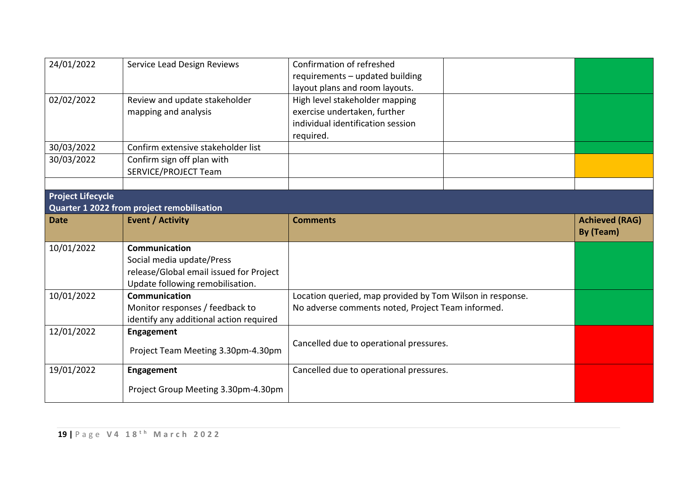| 24/01/2022               | Service Lead Design Reviews                                                                                                     | Confirmation of refreshed<br>requirements - updated building<br>layout plans and room layouts.                   |                                    |
|--------------------------|---------------------------------------------------------------------------------------------------------------------------------|------------------------------------------------------------------------------------------------------------------|------------------------------------|
| 02/02/2022               | Review and update stakeholder<br>mapping and analysis                                                                           | High level stakeholder mapping<br>exercise undertaken, further<br>individual identification session<br>required. |                                    |
| 30/03/2022               | Confirm extensive stakeholder list                                                                                              |                                                                                                                  |                                    |
| 30/03/2022               | Confirm sign off plan with<br><b>SERVICE/PROJECT Team</b>                                                                       |                                                                                                                  |                                    |
|                          |                                                                                                                                 |                                                                                                                  |                                    |
| <b>Project Lifecycle</b> | <b>Quarter 1 2022 from project remobilisation</b>                                                                               |                                                                                                                  |                                    |
| <b>Date</b>              | <b>Event / Activity</b>                                                                                                         | <b>Comments</b>                                                                                                  | <b>Achieved (RAG)</b><br>By (Team) |
|                          |                                                                                                                                 |                                                                                                                  |                                    |
| 10/01/2022               | Communication<br>Social media update/Press<br>release/Global email issued for Project                                           |                                                                                                                  |                                    |
| 10/01/2022               | Update following remobilisation.<br>Communication<br>Monitor responses / feedback to<br>identify any additional action required | Location queried, map provided by Tom Wilson in response.<br>No adverse comments noted, Project Team informed.   |                                    |
| 12/01/2022               | Engagement<br>Project Team Meeting 3.30pm-4.30pm                                                                                | Cancelled due to operational pressures.                                                                          |                                    |
| 19/01/2022               | <b>Engagement</b><br>Project Group Meeting 3.30pm-4.30pm                                                                        | Cancelled due to operational pressures.                                                                          |                                    |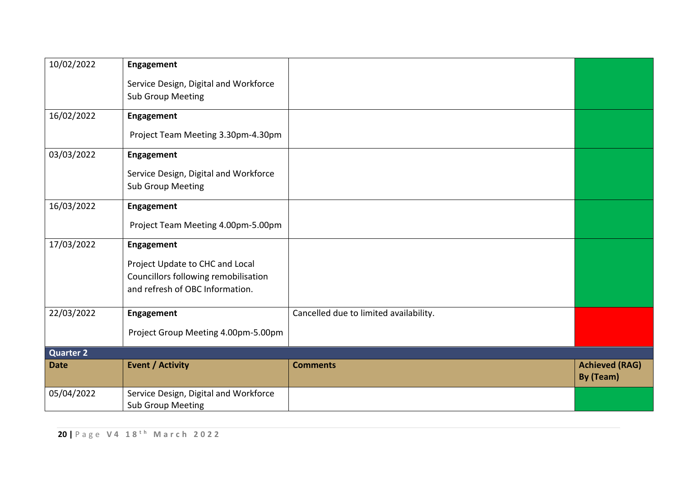| Service Design, Digital and Workforce<br><b>Sub Group Meeting</b><br>16/02/2022<br><b>Engagement</b> |                                    |
|------------------------------------------------------------------------------------------------------|------------------------------------|
|                                                                                                      |                                    |
|                                                                                                      |                                    |
|                                                                                                      |                                    |
| Project Team Meeting 3.30pm-4.30pm                                                                   |                                    |
| 03/03/2022<br>Engagement                                                                             |                                    |
| Service Design, Digital and Workforce                                                                |                                    |
| <b>Sub Group Meeting</b>                                                                             |                                    |
| 16/03/2022<br>Engagement                                                                             |                                    |
| Project Team Meeting 4.00pm-5.00pm                                                                   |                                    |
| 17/03/2022<br>Engagement                                                                             |                                    |
| Project Update to CHC and Local                                                                      |                                    |
| Councillors following remobilisation                                                                 |                                    |
| and refresh of OBC Information.                                                                      |                                    |
| 22/03/2022<br>Cancelled due to limited availability.<br>Engagement                                   |                                    |
| Project Group Meeting 4.00pm-5.00pm                                                                  |                                    |
| Quarter <sub>2</sub>                                                                                 |                                    |
| <b>Event / Activity</b><br><b>Comments</b><br><b>Date</b>                                            | <b>Achieved (RAG)</b><br>By (Team) |
| 05/04/2022<br>Service Design, Digital and Workforce<br><b>Sub Group Meeting</b>                      |                                    |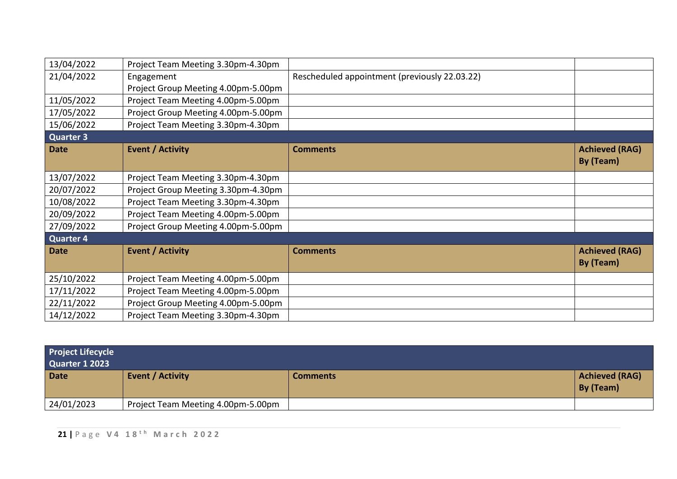| 13/04/2022       | Project Team Meeting 3.30pm-4.30pm  |                                               |                                    |
|------------------|-------------------------------------|-----------------------------------------------|------------------------------------|
| 21/04/2022       | Engagement                          | Rescheduled appointment (previously 22.03.22) |                                    |
|                  | Project Group Meeting 4.00pm-5.00pm |                                               |                                    |
| 11/05/2022       | Project Team Meeting 4.00pm-5.00pm  |                                               |                                    |
| 17/05/2022       | Project Group Meeting 4.00pm-5.00pm |                                               |                                    |
| 15/06/2022       | Project Team Meeting 3.30pm-4.30pm  |                                               |                                    |
| <b>Quarter 3</b> |                                     |                                               |                                    |
| <b>Date</b>      | <b>Event / Activity</b>             | <b>Comments</b>                               | <b>Achieved (RAG)</b><br>By (Team) |
| 13/07/2022       | Project Team Meeting 3.30pm-4.30pm  |                                               |                                    |
| 20/07/2022       | Project Group Meeting 3.30pm-4.30pm |                                               |                                    |
| 10/08/2022       | Project Team Meeting 3.30pm-4.30pm  |                                               |                                    |
| 20/09/2022       | Project Team Meeting 4.00pm-5.00pm  |                                               |                                    |
| 27/09/2022       | Project Group Meeting 4.00pm-5.00pm |                                               |                                    |
| <b>Quarter 4</b> |                                     |                                               |                                    |
| <b>Date</b>      | <b>Event / Activity</b>             | <b>Comments</b>                               | <b>Achieved (RAG)</b><br>By (Team) |
| 25/10/2022       | Project Team Meeting 4.00pm-5.00pm  |                                               |                                    |
| 17/11/2022       | Project Team Meeting 4.00pm-5.00pm  |                                               |                                    |
| 22/11/2022       | Project Group Meeting 4.00pm-5.00pm |                                               |                                    |
| 14/12/2022       | Project Team Meeting 3.30pm-4.30pm  |                                               |                                    |

| <b>Project Lifecycle</b><br><b>Quarter 1 2023</b> |                                    |                 |                             |
|---------------------------------------------------|------------------------------------|-----------------|-----------------------------|
| <b>Date</b>                                       | <b>Event / Activity</b>            | <b>Comments</b> | Achieved (RAG)<br>By (Team) |
| 24/01/2023                                        | Project Team Meeting 4.00pm-5.00pm |                 |                             |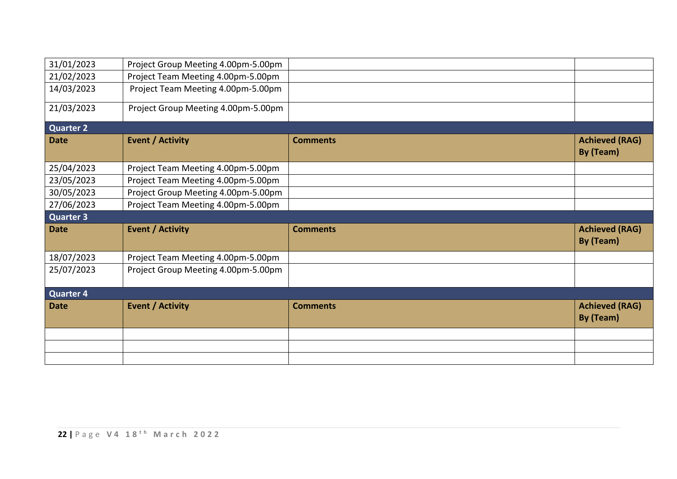| 31/01/2023       | Project Group Meeting 4.00pm-5.00pm |                 |                                    |
|------------------|-------------------------------------|-----------------|------------------------------------|
| 21/02/2023       | Project Team Meeting 4.00pm-5.00pm  |                 |                                    |
| 14/03/2023       | Project Team Meeting 4.00pm-5.00pm  |                 |                                    |
| 21/03/2023       | Project Group Meeting 4.00pm-5.00pm |                 |                                    |
| <b>Quarter 2</b> |                                     |                 |                                    |
| <b>Date</b>      | <b>Event / Activity</b>             | <b>Comments</b> | <b>Achieved (RAG)</b><br>By (Team) |
| 25/04/2023       | Project Team Meeting 4.00pm-5.00pm  |                 |                                    |
| 23/05/2023       | Project Team Meeting 4.00pm-5.00pm  |                 |                                    |
| 30/05/2023       | Project Group Meeting 4.00pm-5.00pm |                 |                                    |
| 27/06/2023       | Project Team Meeting 4.00pm-5.00pm  |                 |                                    |
|                  |                                     |                 |                                    |
| <b>Quarter 3</b> |                                     |                 |                                    |
| <b>Date</b>      | <b>Event / Activity</b>             | <b>Comments</b> | <b>Achieved (RAG)</b><br>By (Team) |
| 18/07/2023       | Project Team Meeting 4.00pm-5.00pm  |                 |                                    |
| 25/07/2023       | Project Group Meeting 4.00pm-5.00pm |                 |                                    |
| <b>Quarter 4</b> |                                     |                 |                                    |
| <b>Date</b>      | <b>Event / Activity</b>             | <b>Comments</b> | <b>Achieved (RAG)</b><br>By (Team) |
|                  |                                     |                 |                                    |
|                  |                                     |                 |                                    |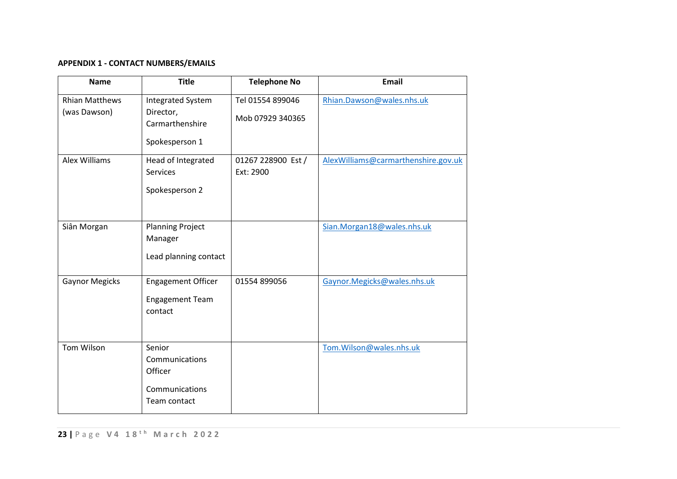## **APPENDIX 1 - CONTACT NUMBERS/EMAILS**

| <b>Name</b>                           | <b>Title</b>                                                               | <b>Telephone No</b>                  | <b>Email</b>                        |
|---------------------------------------|----------------------------------------------------------------------------|--------------------------------------|-------------------------------------|
| <b>Rhian Matthews</b><br>(was Dawson) | <b>Integrated System</b><br>Director,<br>Carmarthenshire<br>Spokesperson 1 | Tel 01554 899046<br>Mob 07929 340365 | Rhian.Dawson@wales.nhs.uk           |
| <b>Alex Williams</b>                  | Head of Integrated<br>Services<br>Spokesperson 2                           | 01267 228900 Est /<br>Ext: 2900      | AlexWilliams@carmarthenshire.gov.uk |
| Siân Morgan                           | <b>Planning Project</b><br>Manager<br>Lead planning contact                |                                      | Sian.Morgan18@wales.nhs.uk          |
| <b>Gaynor Megicks</b>                 | <b>Engagement Officer</b><br><b>Engagement Team</b><br>contact             | 01554 899056                         | Gaynor.Megicks@wales.nhs.uk         |
| Tom Wilson                            | Senior<br>Communications<br>Officer<br>Communications<br>Team contact      |                                      | Tom.Wilson@wales.nhs.uk             |